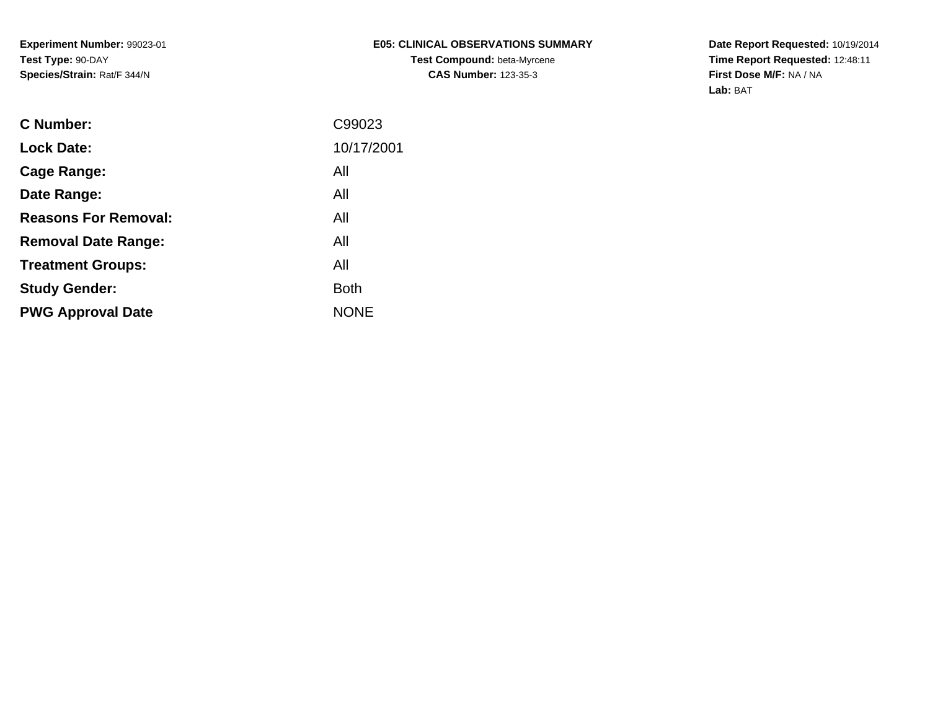**Experiment Number:** 99023-01**Test Type:** 90-DAY**Species/Strain:** Rat/F 344/N

### **E05: CLINICAL OBSERVATIONS SUMMARYTest Compound:** beta-Myrcene**CAS Number:** 123-35-3

**Date Report Requested:** 10/19/2014 **Time Report Requested:** 12:48:11**First Dose M/F:** NA / NA**Lab:** BAT

| <b>C</b> Number:            | C99023      |
|-----------------------------|-------------|
| <b>Lock Date:</b>           | 10/17/2001  |
| Cage Range:                 | All         |
| Date Range:                 | All         |
| <b>Reasons For Removal:</b> | All         |
| <b>Removal Date Range:</b>  | All         |
| <b>Treatment Groups:</b>    | All         |
| <b>Study Gender:</b>        | <b>Both</b> |
| <b>PWG Approval Date</b>    | <b>NONE</b> |
|                             |             |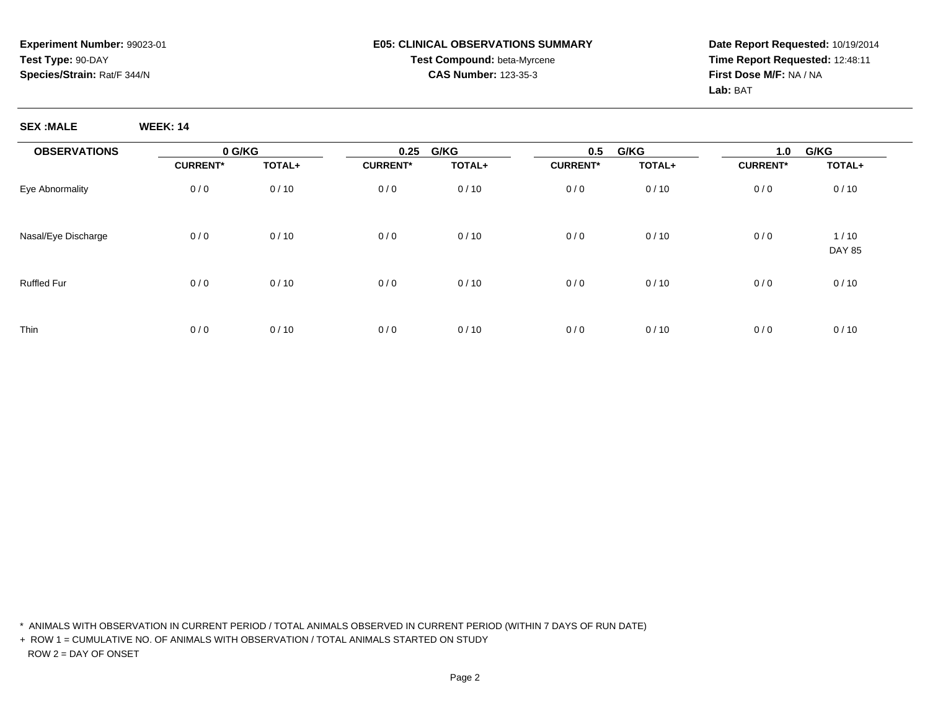**Date Report Requested:** 10/19/2014**Time Report Requested:** 12:48:11**First Dose M/F:** NA / NA**Lab:** BAT

**SEX :MALE WEEK: 14**

| <b>OBSERVATIONS</b> | 0 G/KG          |        | 0.25            | G/KG   | 0.5             | G/KG   | 1.0             | G/KG                  |  |
|---------------------|-----------------|--------|-----------------|--------|-----------------|--------|-----------------|-----------------------|--|
|                     | <b>CURRENT*</b> | TOTAL+ | <b>CURRENT*</b> | TOTAL+ | <b>CURRENT*</b> | TOTAL+ | <b>CURRENT*</b> | TOTAL+                |  |
| Eye Abnormality     | 0/0             | 0/10   | 0/0             | 0/10   | 0/0             | 0/10   | 0/0             | 0/10                  |  |
| Nasal/Eye Discharge | 0/0             | 0/10   | 0/0             | 0/10   | 0/0             | 0/10   | 0/0             | 1/10<br><b>DAY 85</b> |  |
| <b>Ruffled Fur</b>  | 0/0             | 0/10   | 0/0             | 0/10   | 0/0             | 0/10   | 0/0             | 0/10                  |  |
| Thin                | 0/0             | 0/10   | 0/0             | 0/10   | 0/0             | 0/10   | 0/0             | 0/10                  |  |

\* ANIMALS WITH OBSERVATION IN CURRENT PERIOD / TOTAL ANIMALS OBSERVED IN CURRENT PERIOD (WITHIN 7 DAYS OF RUN DATE)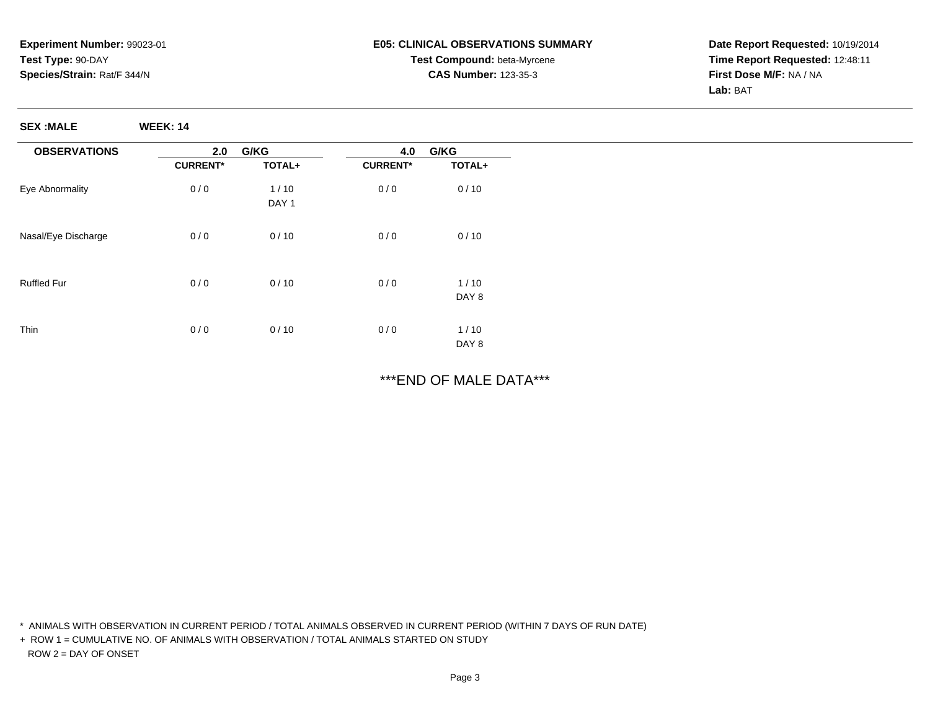**Date Report Requested:** 10/19/2014**Time Report Requested:** 12:48:11**First Dose M/F:** NA / NA**Lab:** BAT

**SEX :MALE WEEK: 14**

| <b>OBSERVATIONS</b> | 2.0             | G/KG             | 4.0             | G/KG   |
|---------------------|-----------------|------------------|-----------------|--------|
|                     | <b>CURRENT*</b> | TOTAL+           | <b>CURRENT*</b> | TOTAL+ |
| Eye Abnormality     | 0/0             | 1/10             | 0/0             | 0/10   |
|                     |                 | DAY <sub>1</sub> |                 |        |
| Nasal/Eye Discharge | 0/0             | 0/10             | 0/0             | 0/10   |
|                     |                 |                  |                 |        |
| <b>Ruffled Fur</b>  | 0/0             | 0/10             | 0/0             | 1/10   |
|                     |                 |                  |                 | DAY 8  |
| Thin                | 0/0             | 0/10             | 0/0             | 1/10   |
|                     |                 |                  |                 | DAY 8  |

\*\*\*END OF MALE DATA\*\*\*

\* ANIMALS WITH OBSERVATION IN CURRENT PERIOD / TOTAL ANIMALS OBSERVED IN CURRENT PERIOD (WITHIN 7 DAYS OF RUN DATE)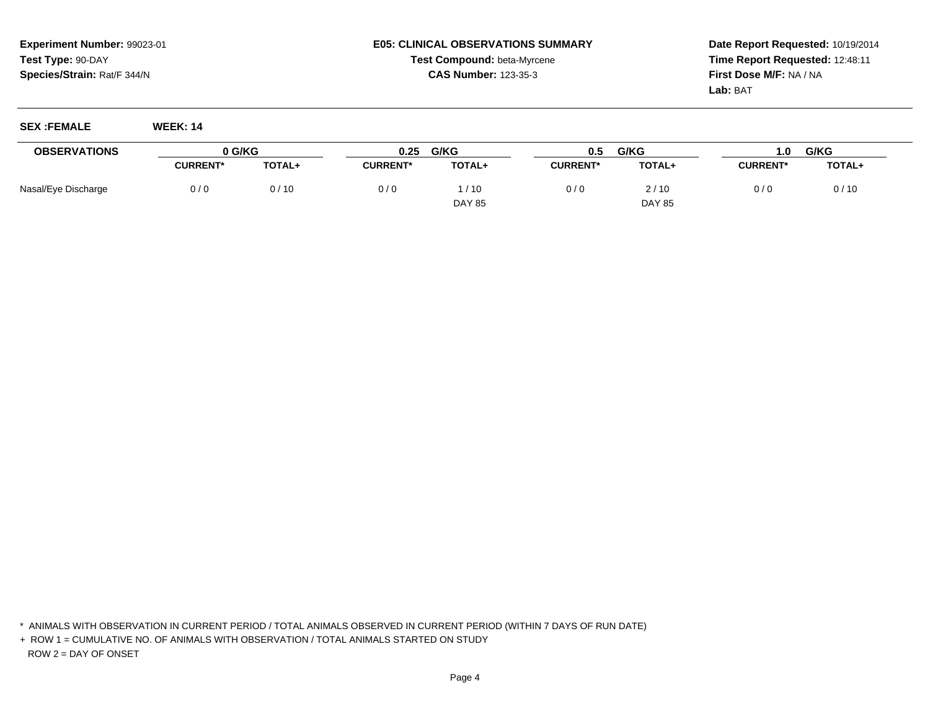**Date Report Requested:** 10/19/2014**Time Report Requested:** 12:48:11**First Dose M/F:** NA / NA**Lab:** BAT

**SEX :FEMALE WEEK: 14**

| <b>OBSERVATIONS</b> | 0 G/KG          |               | 0.25            | G/KG          | 0.5             | G/KG          | 0.1             | G/KG   |
|---------------------|-----------------|---------------|-----------------|---------------|-----------------|---------------|-----------------|--------|
|                     | <b>CURRENT*</b> | <b>TOTAL+</b> | <b>CURRENT*</b> | <b>TOTAL+</b> | <b>CURRENT*</b> | <b>TOTAL+</b> | <b>CURRENT*</b> | TOTAL+ |
| Nasal/Eye Discharge | 0/0             | 0/10          | 0/0             | /10           | 0/0             | 2/10          | 0/0             | 0/10   |
|                     |                 |               |                 | <b>DAY 85</b> |                 | <b>DAY 85</b> |                 |        |

\* ANIMALS WITH OBSERVATION IN CURRENT PERIOD / TOTAL ANIMALS OBSERVED IN CURRENT PERIOD (WITHIN 7 DAYS OF RUN DATE)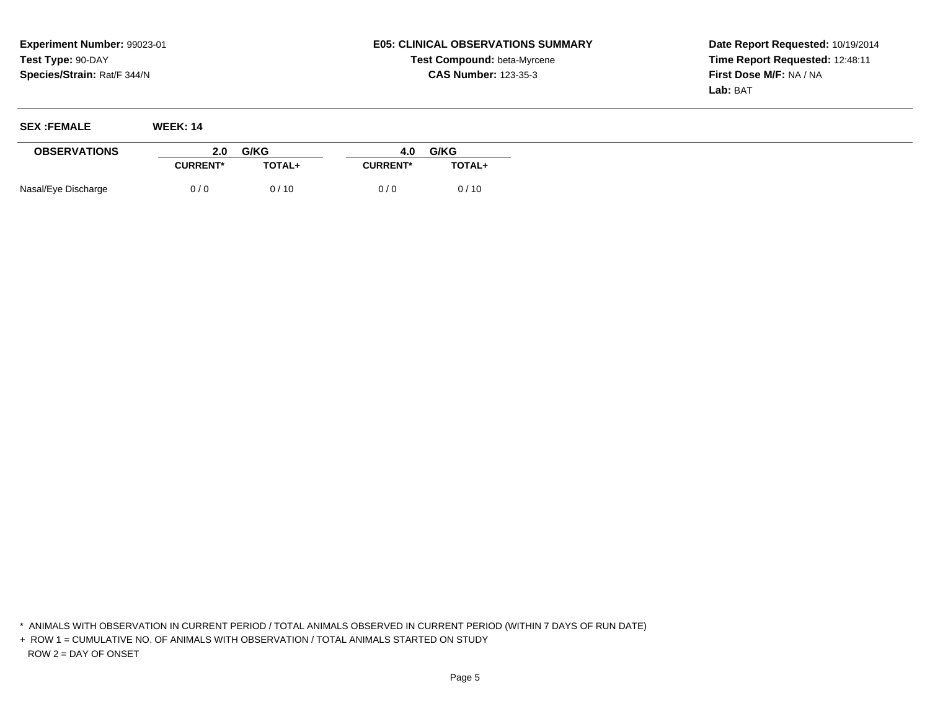**Date Report Requested:** 10/19/2014**Time Report Requested:** 12:48:11**First Dose M/F:** NA / NA**Lab:** BAT

| <b>SEX:FEMALE</b>   | <b>WEEK: 14</b> |        |                 |        |
|---------------------|-----------------|--------|-----------------|--------|
| <b>OBSERVATIONS</b> | 2.0             | G/KG   | 4.0             | G/KG   |
|                     | <b>CURRENT*</b> | TOTAL+ | <b>CURRENT*</b> | TOTAL+ |
| Nasal/Eye Discharge | 0/0             | 0/10   | 0/0             | 0/10   |

\* ANIMALS WITH OBSERVATION IN CURRENT PERIOD / TOTAL ANIMALS OBSERVED IN CURRENT PERIOD (WITHIN 7 DAYS OF RUN DATE)